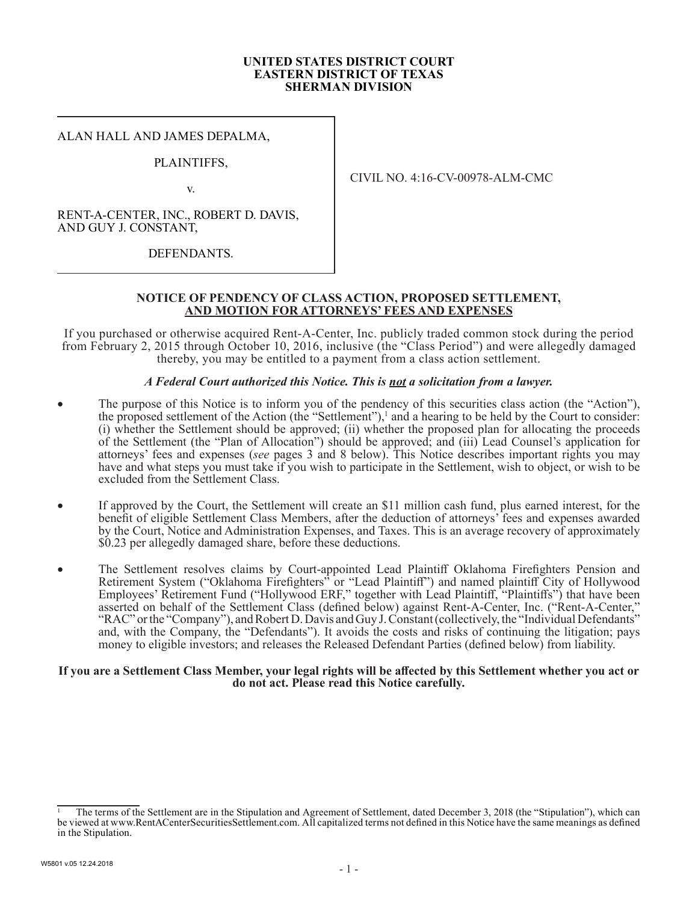#### **UNITED STATES DISTRICT COURT EASTERN DISTRICT OF TEXAS SHERMAN DIVISION**

#### ALAN HALL AND JAMES DEPALMA,

### PLAINTIFFS,

v.

CIVIL NO. 4:16-CV-00978-ALM-CMC

RENT-A-CENTER, INC., ROBERT D. DAVIS, AND GUY J. CONSTANT,

DEFENDANTS.

### **NOTICE OF PENDENCY OF CLASS ACTION, PROPOSED SETTLEMENT, AND MOTION FOR ATTORNEYS' FEES AND EXPENSES**

If you purchased or otherwise acquired Rent-A-Center, Inc. publicly traded common stock during the period from February 2, 2015 through October 10, 2016, inclusive (the "Class Period") and were allegedly damaged thereby, you may be entitled to a payment from a class action settlement.

#### *A Federal Court authorized this Notice. This is not a solicitation from a lawyer.*

- The purpose of this Notice is to inform you of the pendency of this securities class action (the "Action"), the proposed settlement of the Action (the "Settlement"),<sup>1</sup> and a hearing to be held by the Court to consider: (i) whether the Settlement should be approved; (ii) whether the proposed plan for allocating the proceeds of the Settlement (the "Plan of Allocation") should be approved; and (iii) Lead Counsel's application for attorneys' fees and expenses (*see* pages 3 and 8 below). This Notice describes important rights you may have and what steps you must take if you wish to participate in the Settlement, wish to object, or wish to be excluded from the Settlement Class.
- If approved by the Court, the Settlement will create an \$11 million cash fund, plus earned interest, for the benefit of eligible Settlement Class Members, after the deduction of attorneys' fees and expenses awarded by the Court, Notice and Administration Expenses, and Taxes. This is an average recovery of approximately \$0.23 per allegedly damaged share, before these deductions.
- The Settlement resolves claims by Court-appointed Lead Plaintiff Oklahoma Firefighters Pension and Retirement System ("Oklahoma Firefighters" or "Lead Plaintiff") and named plaintiff City of Hollywood Employees' Retirement Fund ("Hollywood ERF," together with Lead Plaintiff, "Plaintiffs") that have been asserted on behalf of the Settlement Class (defined below) against Rent-A-Center, Inc. ("Rent-A-Center," "RAC" or the "Company"), and Robert D. Davis and Guy J. Constant (collectively, the "Individual Defendants" and, with the Company, the "Defendants"). It avoids the costs and risks of continuing the litigation; pays money to eligible investors; and releases the Released Defendant Parties (defined below) from liability.

#### **If you are a Settlement Class Member, your legal rights will be affected by this Settlement whether you act or do not act. Please read this Notice carefully.**

<sup>1</sup> The terms of the Settlement are in the Stipulation and Agreement of Settlement, dated December 3, 2018 (the "Stipulation"), which can be viewed at www.RentACenterSecuritiesSettlement.com. All capitalized terms not defined in this Notice have the same meanings as defined in the Stipulation.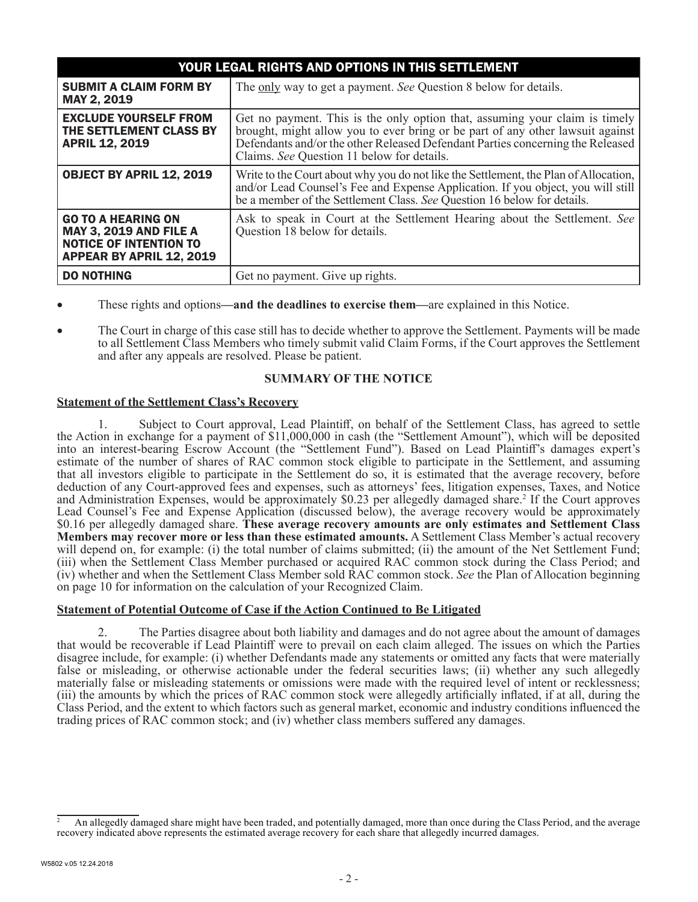| YOUR LEGAL RIGHTS AND OPTIONS IN THIS SETTLEMENT                                                                               |                                                                                                                                                                                                                                                                                            |  |  |  |  |
|--------------------------------------------------------------------------------------------------------------------------------|--------------------------------------------------------------------------------------------------------------------------------------------------------------------------------------------------------------------------------------------------------------------------------------------|--|--|--|--|
| <b>SUBMIT A CLAIM FORM BY</b><br>MAY 2, 2019                                                                                   | The only way to get a payment. See Question 8 below for details.                                                                                                                                                                                                                           |  |  |  |  |
| <b>EXCLUDE YOURSELF FROM</b><br>THE SETTLEMENT CLASS BY<br><b>APRIL 12, 2019</b>                                               | Get no payment. This is the only option that, assuming your claim is timely brought, might allow you to ever bring or be part of any other lawsuit against<br>Defendants and/or the other Released Defendant Parties concerning the Released<br>Claims. See Question 11 below for details. |  |  |  |  |
| <b>OBJECT BY APRIL 12, 2019</b>                                                                                                | Write to the Court about why you do not like the Settlement, the Plan of Allocation,<br>and/or Lead Counsel's Fee and Expense Application. If you object, you will still<br>be a member of the Settlement Class. See Question 16 below for details.                                        |  |  |  |  |
| <b>GO TO A HEARING ON</b><br><b>MAY 3, 2019 AND FILE A</b><br><b>NOTICE OF INTENTION TO</b><br><b>APPEAR BY APRIL 12, 2019</b> | Ask to speak in Court at the Settlement Hearing about the Settlement. See<br>Question 18 below for details.                                                                                                                                                                                |  |  |  |  |
| <b>DO NOTHING</b>                                                                                                              | Get no payment. Give up rights.                                                                                                                                                                                                                                                            |  |  |  |  |

- These rights and options—**and the deadlines to exercise them—**are explained in this Notice.
- The Court in charge of this case still has to decide whether to approve the Settlement. Payments will be made to all Settlement Class Members who timely submit valid Claim Forms, if the Court approves the Settlement and after any appeals are resolved. Please be patient.

## **SUMMARY OF THE NOTICE**

### **Statement of the Settlement Class's Recovery**

Subject to Court approval, Lead Plaintiff, on behalf of the Settlement Class, has agreed to settle the Action in exchange for a payment of \$11,000,000 in cash (the "Settlement Amount"), which will be deposited into an interest-bearing Escrow Account (the "Settlement Fund"). Based on Lead Plaintiff's damages expert's estimate of the number of shares of RAC common stock eligible to participate in the Settlement, and assuming that all investors eligible to participate in the Settlement do so, it is estimated that the average recovery, before deduction of any Court-approved fees and expenses, such as attorneys' fees, litigation expenses, Taxes, and Notice and Administration Expenses, would be approximately \$0.23 per allegedly damaged share.<sup>2</sup> If the Court approves Lead Counsel's Fee and Expense Application (discussed below), the average recovery would be approximately \$0.16 per allegedly damaged share. **These average recovery amounts are only estimates and Settlement Class Members may recover more or less than these estimated amounts.** A Settlement Class Member's actual recovery will depend on, for example: (i) the total number of claims submitted; (ii) the amount of the Net Settlement Fund; (iii) when the Settlement Class Member purchased or acquired RAC common stock during the Class Period; and (iv) whether and when the Settlement Class Member sold RAC common stock. *See* the Plan of Allocation beginning on page 10 for information on the calculation of your Recognized Claim.

#### **Statement of Potential Outcome of Case if the Action Continued to Be Litigated**

2. The Parties disagree about both liability and damages and do not agree about the amount of damages that would be recoverable if Lead Plaintiff were to prevail on each claim alleged. The issues on which the Parties disagree include, for example: (i) whether Defendants made any statements or omitted any facts that were materially false or misleading, or otherwise actionable under the federal securities laws; (ii) whether any such allegedly materially false or misleading statements or omissions were made with the required level of intent or recklessness; (iii) the amounts by which the prices of RAC common stock were allegedly artificially inflated, if at all, during the Class Period, and the extent to which factors such as general market, economic and industry conditions influenced the trading prices of RAC common stock; and (iv) whether class members suffered any damages.

<sup>2</sup> An allegedly damaged share might have been traded, and potentially damaged, more than once during the Class Period, and the average recovery indicated above represents the estimated average recovery for each share that allegedly incurred damages.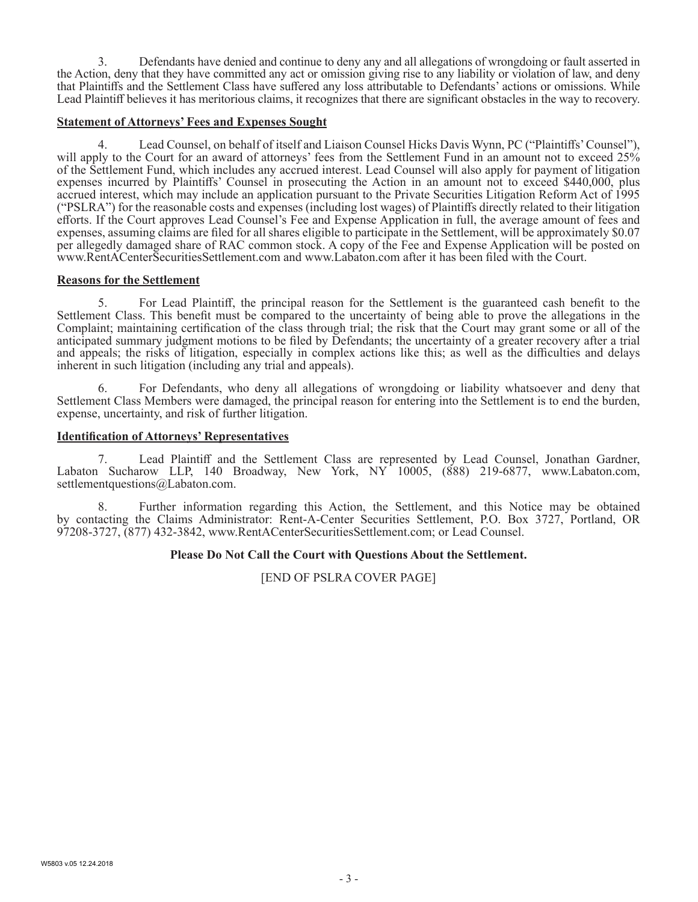3. Defendants have denied and continue to deny any and all allegations of wrongdoing or fault asserted in the Action, deny that they have committed any act or omission giving rise to any liability or violation of law, and deny that Plaintiffs and the Settlement Class have suffered any loss attributable to Defendants' actions or omissions. While Lead Plaintiff believes it has meritorious claims, it recognizes that there are significant obstacles in the way to recovery.

### **Statement of Attorneys' Fees and Expenses Sought**

4. Lead Counsel, on behalf of itself and Liaison Counsel Hicks Davis Wynn, PC ("Plaintiffs' Counsel"), will apply to the Court for an award of attorneys' fees from the Settlement Fund in an amount not to exceed 25% of the Settlement Fund, which includes any accrued interest. Lead Counsel will also apply for payment of litigation expenses incurred by Plaintiffs' Counsel in prosecuting the Action in an amount not to exceed \$440,000, plus accrued interest, which may include an application pursuant to the Private Securities Litigation Reform Act of 1995 ("PSLRA") for the reasonable costs and expenses (including lost wages) of Plaintiffs directly related to their litigation efforts. If the Court approves Lead Counsel's Fee and Expense Application in full, the average amount of fees and expenses, assuming claims are filed for all shares eligible to participate in the Settlement, will be approximately \$0.07 per allegedly damaged share of RAC common stock. A copy of the Fee and Expense Application will be posted on www.RentACenterSecuritiesSettlement.com and www.Labaton.com after it has been filed with the Court.

#### **Reasons for the Settlement**

5. For Lead Plaintiff, the principal reason for the Settlement is the guaranteed cash benefit to the Settlement Class. This benefit must be compared to the uncertainty of being able to prove the allegations in the Complaint; maintaining certification of the class through trial; the risk that the Court may grant some or all of the anticipated summary judgment motions to be filed by Defendants; the uncertainty of a greater recovery after a trial and appeals; the risks of litigation, especially in complex actions like this; as well as the difficulties and delays inherent in such litigation (including any trial and appeals).

6. For Defendants, who deny all allegations of wrongdoing or liability whatsoever and deny that Settlement Class Members were damaged, the principal reason for entering into the Settlement is to end the burden, expense, uncertainty, and risk of further litigation.

### **Identification of Attorneys' Representatives**

7. Lead Plaintiff and the Settlement Class are represented by Lead Counsel, Jonathan Gardner, Labaton Sucharow LLP, 140 Broadway, New York, NY 10005, (888) 219-6877, www.Labaton.com, settlementquestions@Labaton.com.

8. Further information regarding this Action, the Settlement, and this Notice may be obtained by contacting the Claims Administrator: Rent-A-Center Securities Settlement, P.O. Box 3727, Portland, OR 97208-3727, (877) 432-3842, www.RentACenterSecuritiesSettlement.com; or Lead Counsel.

## **Please Do Not Call the Court with Questions About the Settlement.**

[END OF PSLRA COVER PAGE]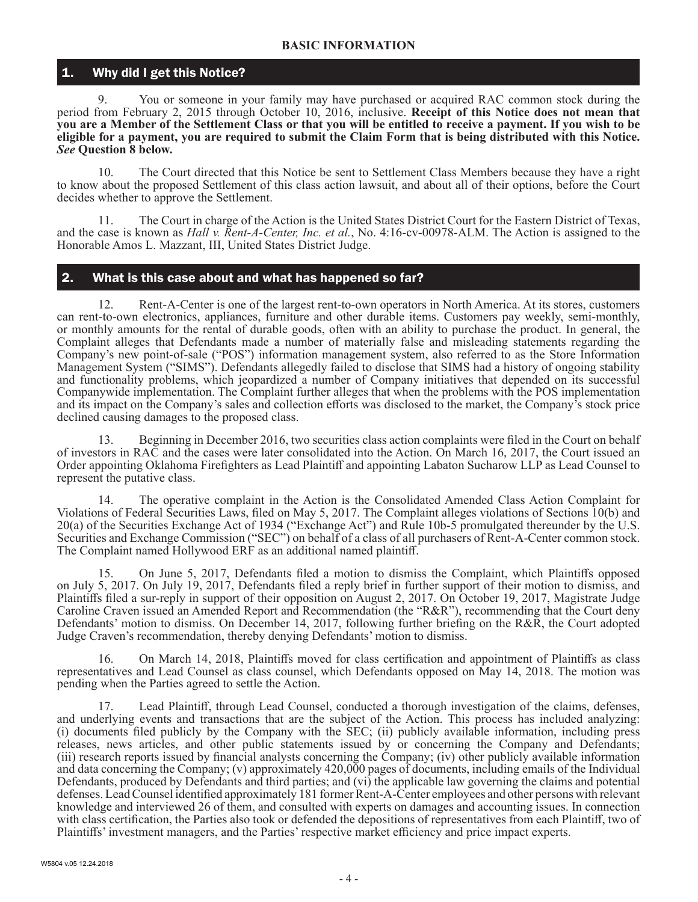## Why did I get this Notice?

9. You or someone in your family may have purchased or acquired RAC common stock during the period from February 2, 2015 through October 10, 2016, inclusive. **Receipt of this Notice does not mean that you are a Member of the Settlement Class or that you will be entitled to receive a payment. If you wish to be eligible for a payment, you are required to submit the Claim Form that is being distributed with this Notice.**  *See* **Question 8 below.**

10. The Court directed that this Notice be sent to Settlement Class Members because they have a right to know about the proposed Settlement of this class action lawsuit, and about all of their options, before the Court decides whether to approve the Settlement.

11. The Court in charge of the Action is the United States District Court for the Eastern District of Texas, and the case is known as *Hall v. Rent-A-Center, Inc. et al.*, No. 4:16-cv-00978-ALM. The Action is assigned to the Honorable Amos L. Mazzant, III, United States District Judge.

# 2. What is this case about and what has happened so far?

12. Rent-A-Center is one of the largest rent-to-own operators in North America. At its stores, customers can rent-to-own electronics, appliances, furniture and other durable items. Customers pay weekly, semi-monthly, or monthly amounts for the rental of durable goods, often with an ability to purchase the product. In general, the Complaint alleges that Defendants made a number of materially false and misleading statements regarding the Company's new point-of-sale ("POS") information management system, also referred to as the Store Information Management System ("SIMS"). Defendants allegedly failed to disclose that SIMS had a history of ongoing stability and functionality problems, which jeopardized a number of Company initiatives that depended on its successful Companywide implementation. The Complaint further alleges that when the problems with the POS implementation and its impact on the Company's sales and collection efforts was disclosed to the market, the Company's stock price declined causing damages to the proposed class.

13. Beginning in December 2016, two securities class action complaints were filed in the Court on behalf of investors in RAC and the cases were later consolidated into the Action. On March 16, 2017, the Court issued an Order appointing Oklahoma Firefighters as Lead Plaintiff and appointing Labaton Sucharow LLP as Lead Counsel to represent the putative class.

14. The operative complaint in the Action is the Consolidated Amended Class Action Complaint for Violations of Federal Securities Laws, filed on May 5, 2017. The Complaint alleges violations of Sections 10(b) and 20(a) of the Securities Exchange Act of 1934 ("Exchange Act") and Rule 10b-5 promulgated thereunder by the U.S. Securities and Exchange Commission ("SEC") on behalf of a class of all purchasers of Rent-A-Center common stock. The Complaint named Hollywood ERF as an additional named plaintiff.

15. On June 5, 2017, Defendants filed a motion to dismiss the Complaint, which Plaintiffs opposed on July 5, 2017. On July 19, 2017, Defendants filed a reply brief in further support of their motion to dismiss, and Plaintiffs filed a sur-reply in support of their opposition on August 2, 2017. On October 19, 2017, Magistrate Judge Caroline Craven issued an Amended Report and Recommendation (the "R&R"), recommending that the Court deny Defendants' motion to dismiss. On December 14, 2017, following further briefing on the R&R, the Court adopted Judge Craven's recommendation, thereby denying Defendants' motion to dismiss.

16. On March 14, 2018, Plaintiffs moved for class certification and appointment of Plaintiffs as class representatives and Lead Counsel as class counsel, which Defendants opposed on May 14, 2018. The motion was pending when the Parties agreed to settle the Action.

17. Lead Plaintiff, through Lead Counsel, conducted a thorough investigation of the claims, defenses, and underlying events and transactions that are the subject of the Action. This process has included analyzing: (i) documents filed publicly by the Company with the SEC; (ii) publicly available information, including press releases, news articles, and other public statements issued by or concerning the Company and Defendants; (iii) research reports issued by financial analysts concerning the Company; (iv) other publicly available information and data concerning the Company; (v) approximately 420,000 pages of documents, including emails of the Individual Defendants, produced by Defendants and third parties; and (vi) the applicable law governing the claims and potential defenses. Lead Counsel identified approximately 181 former Rent-A-Center employees and other persons with relevant knowledge and interviewed 26 of them, and consulted with experts on damages and accounting issues. In connection with class certification, the Parties also took or defended the depositions of representatives from each Plaintiff, two of Plaintiffs' investment managers, and the Parties' respective market efficiency and price impact experts.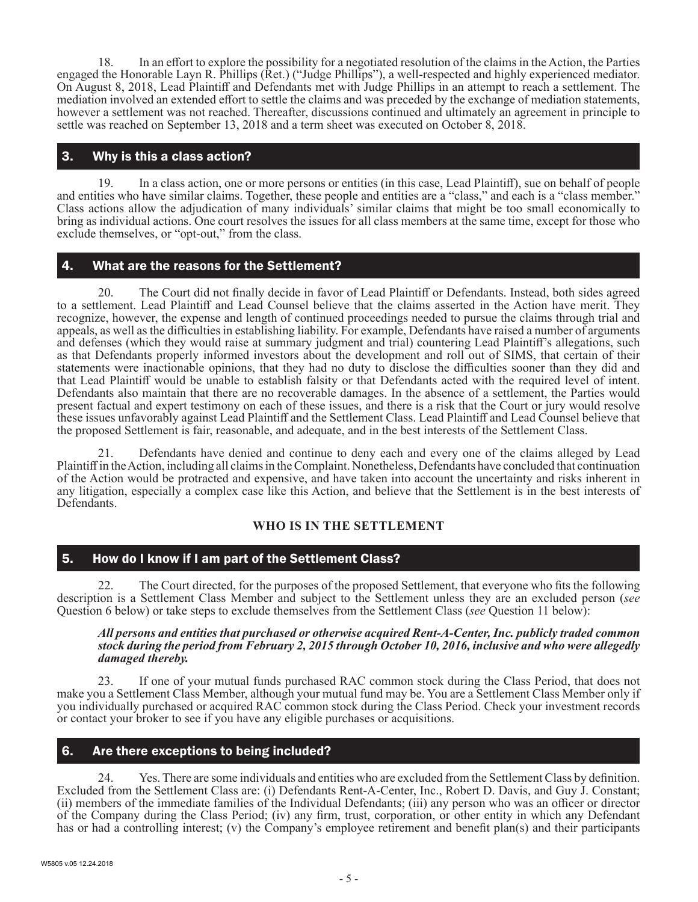18. In an effort to explore the possibility for a negotiated resolution of the claims in the Action, the Parties engaged the Honorable Layn R. Phillips (Ret.) ("Judge Phillips"), a well-respected and highly experienced mediator. On August 8, 2018, Lead Plaintiff and Defendants met with Judge Phillips in an attempt to reach a settlement. The mediation involved an extended effort to settle the claims and was preceded by the exchange of mediation statements, however a settlement was not reached. Thereafter, discussions continued and ultimately an agreement in principle to settle was reached on September 13, 2018 and a term sheet was executed on October 8, 2018.

## 3. Why is this a class action?

19. In a class action, one or more persons or entities (in this case, Lead Plaintiff), sue on behalf of people and entities who have similar claims. Together, these people and entities are a "class," and each is a "class member." Class actions allow the adjudication of many individuals' similar claims that might be too small economically to bring as individual actions. One court resolves the issues for all class members at the same time, except for those who exclude themselves, or "opt-out," from the class.

# 4. What are the reasons for the Settlement?

20. The Court did not finally decide in favor of Lead Plaintiff or Defendants. Instead, both sides agreed to a settlement. Lead Plaintiff and Lead Counsel believe that the claims asserted in the Action have merit. They recognize, however, the expense and length of continued proceedings needed to pursue the claims through trial and appeals, as well as the difficulties in establishing liability. For example, Defendants have raised a number of arguments and defenses (which they would raise at summary judgment and trial) countering Lead Plaintiff's allegations, such as that Defendants properly informed investors about the development and roll out of SIMS, that certain of their statements were inactionable opinions, that they had no duty to disclose the difficulties sooner than they did and that Lead Plaintiff would be unable to establish falsity or that Defendants acted with the required level of intent. Defendants also maintain that there are no recoverable damages. In the absence of a settlement, the Parties would present factual and expert testimony on each of these issues, and there is a risk that the Court or jury would resolve these issues unfavorably against Lead Plaintiff and the Settlement Class. Lead Plaintiff and Lead Counsel believe that the proposed Settlement is fair, reasonable, and adequate, and in the best interests of the Settlement Class.

Defendants have denied and continue to deny each and every one of the claims alleged by Lead Plaintiff in the Action, including all claims in the Complaint. Nonetheless, Defendants have concluded that continuation of the Action would be protracted and expensive, and have taken into account the uncertainty and risks inherent in any litigation, especially a complex case like this Action, and believe that the Settlement is in the best interests of Defendants.

# **WHO IS IN THE SETTLEMENT**

# 5. How do I know if I am part of the Settlement Class?

22. The Court directed, for the purposes of the proposed Settlement, that everyone who fits the following description is a Settlement Class Member and subject to the Settlement unless they are an excluded person (*see* Question 6 below) or take steps to exclude themselves from the Settlement Class (*see* Question 11 below):

#### *All persons and entities that purchased or otherwise acquired Rent-A-Center, Inc. publicly traded common stock during the period from February 2, 2015 through October 10, 2016, inclusive and who were allegedly damaged thereby.*

23. If one of your mutual funds purchased RAC common stock during the Class Period, that does not make you a Settlement Class Member, although your mutual fund may be. You are a Settlement Class Member only if you individually purchased or acquired RAC common stock during the Class Period. Check your investment records or contact your broker to see if you have any eligible purchases or acquisitions.

# 6. Are there exceptions to being included?

24. Yes. There are some individuals and entities who are excluded from the Settlement Class by definition. Excluded from the Settlement Class are: (i) Defendants Rent-A-Center, Inc., Robert D. Davis, and Guy J. Constant; (ii) members of the immediate families of the Individual Defendants; (iii) any person who was an officer or director of the Company during the Class Period; (iv) any firm, trust, corporation, or other entity in which any Defendant has or had a controlling interest; (v) the Company's employee retirement and benefit plan(s) and their participants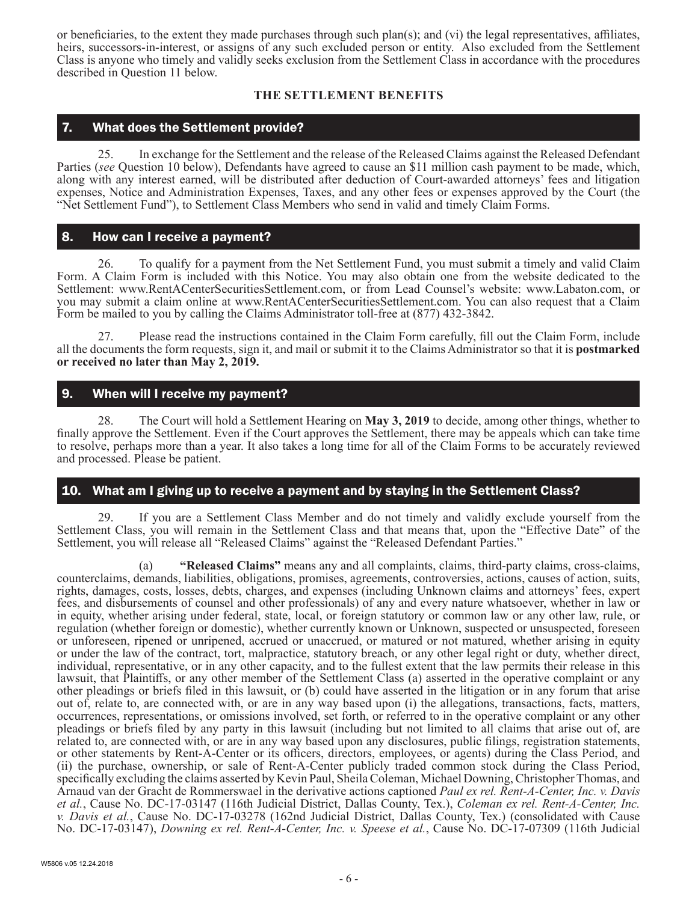or beneficiaries, to the extent they made purchases through such plan(s); and (vi) the legal representatives, affiliates, heirs, successors-in-interest, or assigns of any such excluded person or entity. Also excluded from the Settlement Class is anyone who timely and validly seeks exclusion from the Settlement Class in accordance with the procedures described in Question 11 below.

## **THE SETTLEMENT BENEFITS**

## 7. What does the Settlement provide?

25. In exchange for the Settlement and the release of the Released Claims against the Released Defendant Parties (*see* Question 10 below), Defendants have agreed to cause an \$11 million cash payment to be made, which, along with any interest earned, will be distributed after deduction of Court-awarded attorneys' fees and litigation expenses, Notice and Administration Expenses, Taxes, and any other fees or expenses approved by the Court (the "Net Settlement Fund"), to Settlement Class Members who send in valid and timely Claim Forms.

## 8. How can I receive a payment?

26. To qualify for a payment from the Net Settlement Fund, you must submit a timely and valid Claim Form. A Claim Form is included with this Notice. You may also obtain one from the website dedicated to the Settlement: www.RentACenterSecuritiesSettlement.com, or from Lead Counsel's website: www.Labaton.com, or you may submit a claim online at www.RentACenterSecuritiesSettlement.com. You can also request that a Claim Form be mailed to you by calling the Claims Administrator toll-free at (877) 432-3842.

27. Please read the instructions contained in the Claim Form carefully, fill out the Claim Form, include all the documents the form requests, sign it, and mail or submit it to the Claims Administrator so that it is **postmarked or received no later than May 2, 2019.**

# 9. When will I receive my payment?

28. The Court will hold a Settlement Hearing on **May 3, 2019** to decide, among other things, whether to finally approve the Settlement. Even if the Court approves the Settlement, there may be appeals which can take time to resolve, perhaps more than a year. It also takes a long time for all of the Claim Forms to be accurately reviewed and processed. Please be patient.

# 10. What am I giving up to receive a payment and by staying in the Settlement Class?

29. If you are a Settlement Class Member and do not timely and validly exclude yourself from the Settlement Class, you will remain in the Settlement Class and that means that, upon the "Effective Date" of the Settlement, you will release all "Released Claims" against the "Released Defendant Parties."

(a) **"Released Claims"** means any and all complaints, claims, third-party claims, cross-claims, counterclaims, demands, liabilities, obligations, promises, agreements, controversies, actions, causes of action, suits, rights, damages, costs, losses, debts, charges, and expenses (including Unknown claims and attorneys' fees, expert fees, and disbursements of counsel and other professionals) of any and every nature whatsoever, whether in law or in equity, whether arising under federal, state, local, or foreign statutory or common law or any other law, rule, or regulation (whether foreign or domestic), whether currently known or Unknown, suspected or unsuspected, foreseen or unforeseen, ripened or unripened, accrued or unaccrued, or matured or not matured, whether arising in equity or under the law of the contract, tort, malpractice, statutory breach, or any other legal right or duty, whether direct, individual, representative, or in any other capacity, and to the fullest extent that the law permits their release in this lawsuit, that Plaintiffs, or any other member of the Settlement Class (a) asserted in the operative complaint or any other pleadings or briefs filed in this lawsuit, or (b) could have asserted in the litigation or in any forum that arise out of, relate to, are connected with, or are in any way based upon (i) the allegations, transactions, facts, matters, occurrences, representations, or omissions involved, set forth, or referred to in the operative complaint or any other pleadings or briefs filed by any party in this lawsuit (including but not limited to all claims that arise out of, are related to, are connected with, or are in any way based upon any disclosures, public filings, registration statements, or other statements by Rent-A-Center or its officers, directors, employees, or agents) during the Class Period, and (ii) the purchase, ownership, or sale of Rent-A-Center publicly traded common stock during the Class Period, specifically excluding the claims asserted by Kevin Paul, Sheila Coleman, Michael Downing, Christopher Thomas, and Arnaud van der Gracht de Rommerswael in the derivative actions captioned *Paul ex rel. Rent-A-Center, Inc. v. Davis et al.*, Cause No. DC-17-03147 (116th Judicial District, Dallas County, Tex.), *Coleman ex rel. Rent-A-Center, Inc. v. Davis et al.*, Cause No. DC-17-03278 (162nd Judicial District, Dallas County, Tex.) (consolidated with Cause No. DC-17-03147), *Downing ex rel. Rent-A-Center, Inc. v. Speese et al.*, Cause No. DC-17-07309 (116th Judicial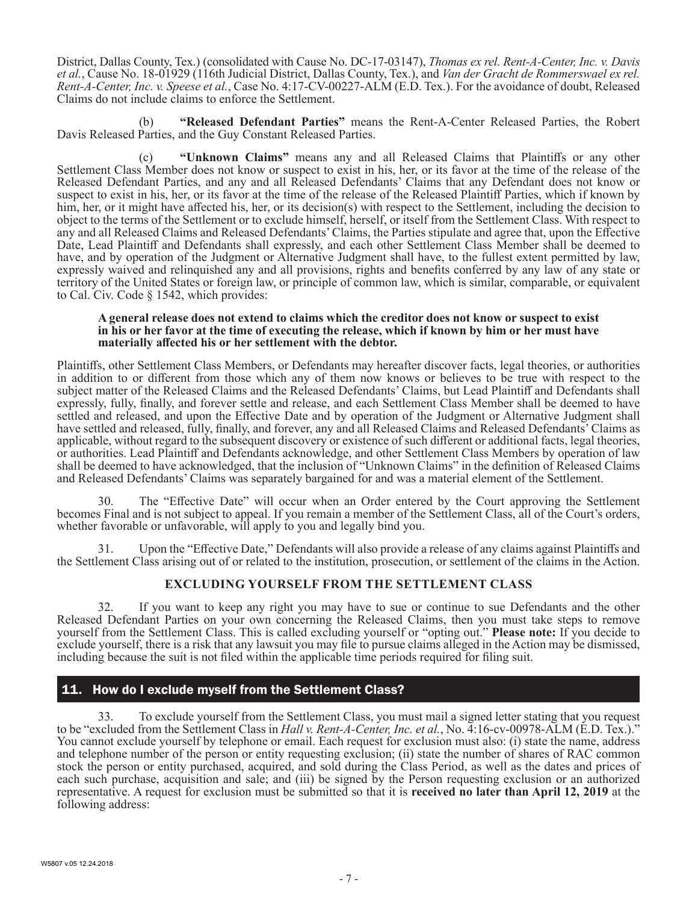District, Dallas County, Tex.) (consolidated with Cause No. DC-17-03147), *Thomas ex rel. Rent-A-Center, Inc. v. Davis et al.*, Cause No. 18-01929 (116th Judicial District, Dallas County, Tex.), and *Van der Gracht de Rommerswael ex rel. Rent-A-Center, Inc. v. Speese et al.*, Case No. 4:17-CV-00227-ALM (E.D. Tex.). For the avoidance of doubt, Released Claims do not include claims to enforce the Settlement.

(b) **"Released Defendant Parties"** means the Rent-A-Center Released Parties, the Robert Davis Released Parties, and the Guy Constant Released Parties.

(c) **"Unknown Claims"** means any and all Released Claims that Plaintiffs or any other Settlement Class Member does not know or suspect to exist in his, her, or its favor at the time of the release of the Released Defendant Parties, and any and all Released Defendants' Claims that any Defendant does not know or suspect to exist in his, her, or its favor at the time of the release of the Released Plaintiff Parties, which if known by him, her, or it might have affected his, her, or its decision(s) with respect to the Settlement, including the decision to object to the terms of the Settlement or to exclude himself, herself, or itself from the Settlement Class. With respect to any and all Released Claims and Released Defendants' Claims, the Parties stipulate and agree that, upon the Effective Date, Lead Plaintiff and Defendants shall expressly, and each other Settlement Class Member shall be deemed to have, and by operation of the Judgment or Alternative Judgment shall have, to the fullest extent permitted by law, expressly waived and relinquished any and all provisions, rights and benefits conferred by any law of any state or territory of the United States or foreign law, or principle of common law, which is similar, comparable, or equivalent to Cal. Civ. Code § 1542, which provides:

#### **A general release does not extend to claims which the creditor does not know or suspect to exist in his or her favor at the time of executing the release, which if known by him or her must have materially affected his or her settlement with the debtor.**

Plaintiffs, other Settlement Class Members, or Defendants may hereafter discover facts, legal theories, or authorities in addition to or different from those which any of them now knows or believes to be true with respect to the subject matter of the Released Claims and the Released Defendants' Claims, but Lead Plaintiff and Defendants shall expressly, fully, finally, and forever settle and release, and each Settlement Class Member shall be deemed to have settled and released, and upon the Effective Date and by operation of the Judgment or Alternative Judgment shall have settled and released, fully, finally, and forever, any and all Released Claims and Released Defendants' Claims as applicable, without regard to the subsequent discovery or existence of such different or additional facts, legal theories, or authorities. Lead Plaintiff and Defendants acknowledge, and other Settlement Class Members by operation of law shall be deemed to have acknowledged, that the inclusion of "Unknown Claims" in the definition of Released Claims and Released Defendants' Claims was separately bargained for and was a material element of the Settlement.

The "Effective Date" will occur when an Order entered by the Court approving the Settlement becomes Final and is not subject to appeal. If you remain a member of the Settlement Class, all of the Court's orders, whether favorable or unfavorable, will apply to you and legally bind you.

Upon the "Effective Date," Defendants will also provide a release of any claims against Plaintiffs and the Settlement Class arising out of or related to the institution, prosecution, or settlement of the claims in the Action.

## **EXCLUDING YOURSELF FROM THE SETTLEMENT CLASS**

32. If you want to keep any right you may have to sue or continue to sue Defendants and the other Released Defendant Parties on your own concerning the Released Claims, then you must take steps to remove yourself from the Settlement Class. This is called excluding yourself or "opting out." **Please note:** If you decide to exclude yourself, there is a risk that any lawsuit you may file to pursue claims alleged in the Action may be dismissed, including because the suit is not filed within the applicable time periods required for filing suit.

# 11. How do I exclude myself from the Settlement Class?

33. To exclude yourself from the Settlement Class, you must mail a signed letter stating that you request to be "excluded from the Settlement Class in *Hall v. Rent-A-Center, Inc. et al.*, No. 4:16-cv-00978-ALM (E.D. Tex.)." You cannot exclude yourself by telephone or email. Each request for exclusion must also: (i) state the name, address and telephone number of the person or entity requesting exclusion; (ii) state the number of shares of RAC common stock the person or entity purchased, acquired, and sold during the Class Period, as well as the dates and prices of each such purchase, acquisition and sale; and (iii) be signed by the Person requesting exclusion or an authorized representative. A request for exclusion must be submitted so that it is **received no later than April 12, 2019** at the following address: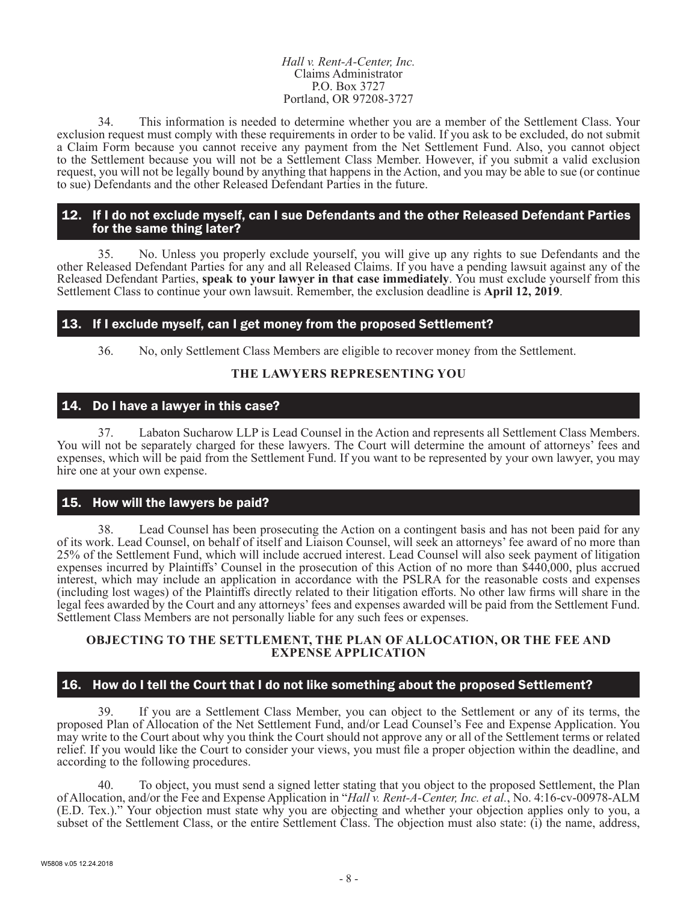#### *Hall v. Rent-A-Center, Inc.* Claims Administrator P.O. Box 3727 Portland, OR 97208-3727

34. This information is needed to determine whether you are a member of the Settlement Class. Your exclusion request must comply with these requirements in order to be valid. If you ask to be excluded, do not submit a Claim Form because you cannot receive any payment from the Net Settlement Fund. Also, you cannot object to the Settlement because you will not be a Settlement Class Member. However, if you submit a valid exclusion request, you will not be legally bound by anything that happens in the Action, and you may be able to sue (or continue to sue) Defendants and the other Released Defendant Parties in the future.

## 12. If I do not exclude myself, can I sue Defendants and the other Released Defendant Parties for the same thing later?

35. No. Unless you properly exclude yourself, you will give up any rights to sue Defendants and the other Released Defendant Parties for any and all Released Claims. If you have a pending lawsuit against any of the Released Defendant Parties, **speak to your lawyer in that case immediately**. You must exclude yourself from this Settlement Class to continue your own lawsuit. Remember, the exclusion deadline is **April 12, 2019**.

# 13. If I exclude myself, can I get money from the proposed Settlement?

36. No, only Settlement Class Members are eligible to recover money from the Settlement.

# **THE LAWYERS REPRESENTING YOU**

## 14. Do I have a lawyer in this case?

37. Labaton Sucharow LLP is Lead Counsel in the Action and represents all Settlement Class Members. You will not be separately charged for these lawyers. The Court will determine the amount of attorneys' fees and expenses, which will be paid from the Settlement Fund. If you want to be represented by your own lawyer, you may hire one at your own expense.

# 15. How will the lawyers be paid?

38. Lead Counsel has been prosecuting the Action on a contingent basis and has not been paid for any of its work. Lead Counsel, on behalf of itself and Liaison Counsel, will seek an attorneys' fee award of no more than 25% of the Settlement Fund, which will include accrued interest. Lead Counsel will also seek payment of litigation expenses incurred by Plaintiffs' Counsel in the prosecution of this Action of no more than \$440,000, plus accrued interest, which may include an application in accordance with the PSLRA for the reasonable costs and expenses (including lost wages) of the Plaintiffs directly related to their litigation efforts. No other law firms will share in the legal fees awarded by the Court and any attorneys' fees and expenses awarded will be paid from the Settlement Fund. Settlement Class Members are not personally liable for any such fees or expenses.

### **OBJECTING TO THE SETTLEMENT, THE PLAN OF ALLOCATION, OR THE FEE AND EXPENSE APPLICATION**

# 16. How do I tell the Court that I do not like something about the proposed Settlement?

39. If you are a Settlement Class Member, you can object to the Settlement or any of its terms, the proposed Plan of Allocation of the Net Settlement Fund, and/or Lead Counsel's Fee and Expense Application. You may write to the Court about why you think the Court should not approve any or all of the Settlement terms or related relief. If you would like the Court to consider your views, you must file a proper objection within the deadline, and according to the following procedures.

40. To object, you must send a signed letter stating that you object to the proposed Settlement, the Plan of Allocation, and/or the Fee and Expense Application in "*Hall v. Rent-A-Center, Inc. et al.*, No. 4:16-cv-00978-ALM (E.D. Tex.)." Your objection must state why you are objecting and whether your objection applies only to you, a subset of the Settlement Class, or the entire Settlement Class. The objection must also state:  $(i)$  the name, address,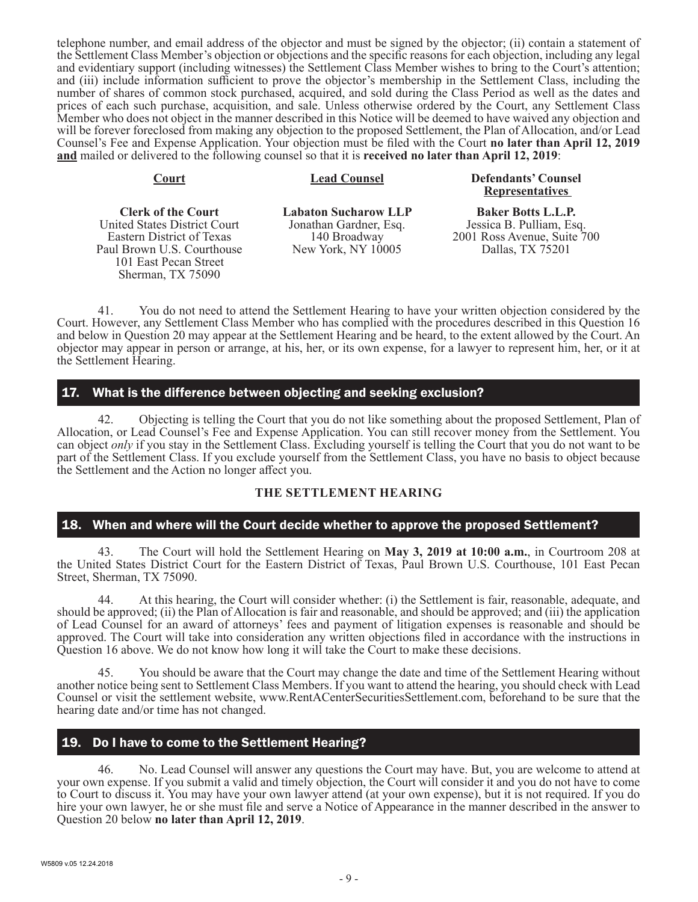telephone number, and email address of the objector and must be signed by the objector; (ii) contain a statement of the Settlement Class Member's objection or objections and the specific reasons for each objection, including any legal and evidentiary support (including witnesses) the Settlement Class Member wishes to bring to the Court's attention; and (iii) include information sufficient to prove the objector's membership in the Settlement Class, including the number of shares of common stock purchased, acquired, and sold during the Class Period as well as the dates and prices of each such purchase, acquisition, and sale. Unless otherwise ordered by the Court, any Settlement Class Member who does not object in the manner described in this Notice will be deemed to have waived any objection and will be forever foreclosed from making any objection to the proposed Settlement, the Plan of Allocation, and/or Lead Counsel's Fee and Expense Application. Your objection must be filed with the Court **no later than April 12, 2019 and** mailed or delivered to the following counsel so that it is **received no later than April 12, 2019**:

**Court Lead Counsel Defendants' Counsel Representatives** 

**Clerk of the Court** United States District Court Eastern District of Texas Paul Brown U.S. Courthouse 101 East Pecan Street Sherman, TX 75090

**Labaton Sucharow LLP** Jonathan Gardner, Esq. 140 Broadway New York, NY 10005

**Baker Botts L.L.P.** Jessica B. Pulliam, Esq. 2001 Ross Avenue, Suite 700 Dallas, TX 75201

41. You do not need to attend the Settlement Hearing to have your written objection considered by the Court. However, any Settlement Class Member who has complied with the procedures described in this Question 16 and below in Question 20 may appear at the Settlement Hearing and be heard, to the extent allowed by the Court. An objector may appear in person or arrange, at his, her, or its own expense, for a lawyer to represent him, her, or it at the Settlement Hearing.

# 17. What is the difference between objecting and seeking exclusion?

42. Objecting is telling the Court that you do not like something about the proposed Settlement, Plan of Allocation, or Lead Counsel's Fee and Expense Application. You can still recover money from the Settlement. You can object *only* if you stay in the Settlement Class. Excluding yourself is telling the Court that you do not want to be part of the Settlement Class. If you exclude yourself from the Settlement Class, you have no basis to object because the Settlement and the Action no longer affect you.

## **THE SETTLEMENT HEARING**

# 18. When and where will the Court decide whether to approve the proposed Settlement?

43. The Court will hold the Settlement Hearing on **May 3, 2019 at 10:00 a.m.**, in Courtroom 208 at the United States District Court for the Eastern District of Texas, Paul Brown U.S. Courthouse, 101 East Pecan Street, Sherman, TX 75090.

44. At this hearing, the Court will consider whether: (i) the Settlement is fair, reasonable, adequate, and should be approved; (ii) the Plan of Allocation is fair and reasonable, and should be approved; and (iii) the application of Lead Counsel for an award of attorneys' fees and payment of litigation expenses is reasonable and should be approved. The Court will take into consideration any written objections filed in accordance with the instructions in Question 16 above. We do not know how long it will take the Court to make these decisions.

You should be aware that the Court may change the date and time of the Settlement Hearing without another notice being sent to Settlement Class Members. If you want to attend the hearing, you should check with Lead Counsel or visit the settlement website, www.RentACenterSecuritiesSettlement.com, beforehand to be sure that the hearing date and/or time has not changed.

# 19. Do I have to come to the Settlement Hearing?

46. No. Lead Counsel will answer any questions the Court may have. But, you are welcome to attend at your own expense. If you submit a valid and timely objection, the Court will consider it and you do not have to come to Court to discuss it. You may have your own lawyer attend (at your own expense), but it is not required. If you do hire your own lawyer, he or she must file and serve a Notice of Appearance in the manner described in the answer to Question 20 below **no later than April 12, 2019**.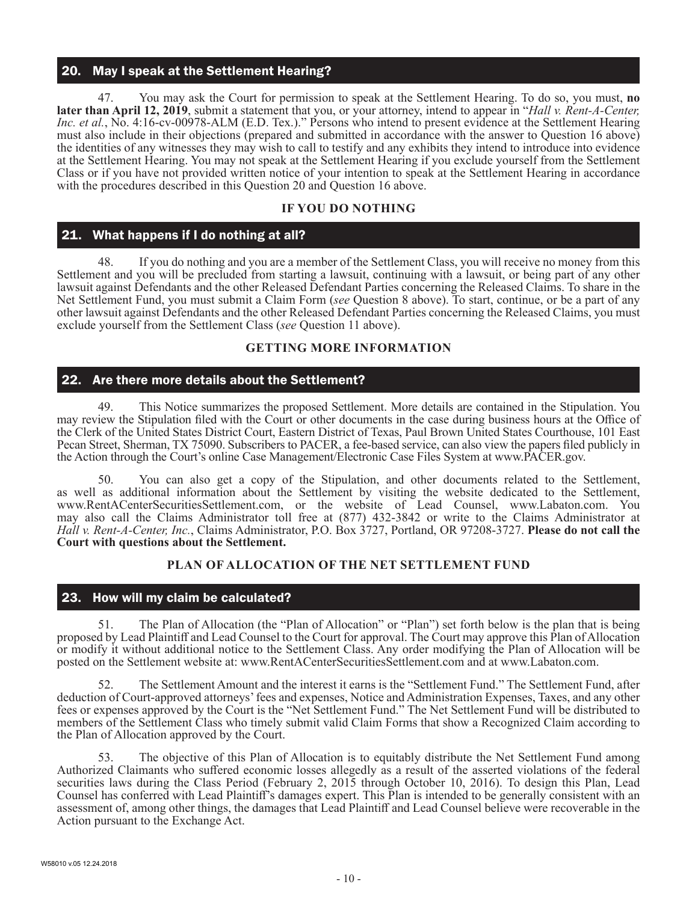# 20. May I speak at the Settlement Hearing?

47. You may ask the Court for permission to speak at the Settlement Hearing. To do so, you must, **no later than April 12, 2019**, submit a statement that you, or your attorney, intend to appear in "*Hall v. Rent-A-Center, Inc. et al.*, No. 4:16-cv-00978-ALM (E.D. Tex.)." Persons who intend to present evidence at the Settlement Hearing must also include in their objections (prepared and submitted in accordance with the answer to Question 16 above) the identities of any witnesses they may wish to call to testify and any exhibits they intend to introduce into evidence at the Settlement Hearing. You may not speak at the Settlement Hearing if you exclude yourself from the Settlement Class or if you have not provided written notice of your intention to speak at the Settlement Hearing in accordance with the procedures described in this Question 20 and Question 16 above.

## **IF YOU DO NOTHING**

# 21. What happens if I do nothing at all?

48. If you do nothing and you are a member of the Settlement Class, you will receive no money from this Settlement and you will be precluded from starting a lawsuit, continuing with a lawsuit, or being part of any other lawsuit against Defendants and the other Released Defendant Parties concerning the Released Claims. To share in the Net Settlement Fund, you must submit a Claim Form (*see* Question 8 above). To start, continue, or be a part of any other lawsuit against Defendants and the other Released Defendant Parties concerning the Released Claims, you must exclude yourself from the Settlement Class (*see* Question 11 above).

## **GETTING MORE INFORMATION**

## 22. Are there more details about the Settlement?

49. This Notice summarizes the proposed Settlement. More details are contained in the Stipulation. You may review the Stipulation filed with the Court or other documents in the case during business hours at the Office of the Clerk of the United States District Court, Eastern District of Texas, Paul Brown United States Courthouse, 101 East Pecan Street, Sherman, TX 75090. Subscribers to PACER, a fee-based service, can also view the papers filed publicly in the Action through the Court's online Case Management/Electronic Case Files System at www.PACER.gov.

You can also get a copy of the Stipulation, and other documents related to the Settlement, as well as additional information about the Settlement by visiting the website dedicated to the Settlement, www.RentACenterSecuritiesSettlement.com, or the website of Lead Counsel, www.Labaton.com. You may also call the Claims Administrator toll free at (877) 432-3842 or write to the Claims Administrator at *Hall v. Rent-A-Center, Inc.*, Claims Administrator, P.O. Box 3727, Portland, OR 97208-3727. **Please do not call the Court with questions about the Settlement.**

## **PLAN OF ALLOCATION OF THE NET SETTLEMENT FUND**

# 23. How will my claim be calculated?

51. The Plan of Allocation (the "Plan of Allocation" or "Plan") set forth below is the plan that is being proposed by Lead Plaintiff and Lead Counsel to the Court for approval. The Court may approve this Plan of Allocation or modify it without additional notice to the Settlement Class. Any order modifying the Plan of Allocation will be posted on the Settlement website at: www.RentACenterSecuritiesSettlement.com and at www.Labaton.com.

52. The Settlement Amount and the interest it earns is the "Settlement Fund." The Settlement Fund, after deduction of Court-approved attorneys' fees and expenses, Notice and Administration Expenses, Taxes, and any other fees or expenses approved by the Court is the "Net Settlement Fund." The Net Settlement Fund will be distributed to members of the Settlement Class who timely submit valid Claim Forms that show a Recognized Claim according to the Plan of Allocation approved by the Court.

53. The objective of this Plan of Allocation is to equitably distribute the Net Settlement Fund among Authorized Claimants who suffered economic losses allegedly as a result of the asserted violations of the federal securities laws during the Class Period (February 2, 2015 through October 10, 2016). To design this Plan, Lead Counsel has conferred with Lead Plaintiff's damages expert. This Plan is intended to be generally consistent with an assessment of, among other things, the damages that Lead Plaintiff and Lead Counsel believe were recoverable in the Action pursuant to the Exchange Act.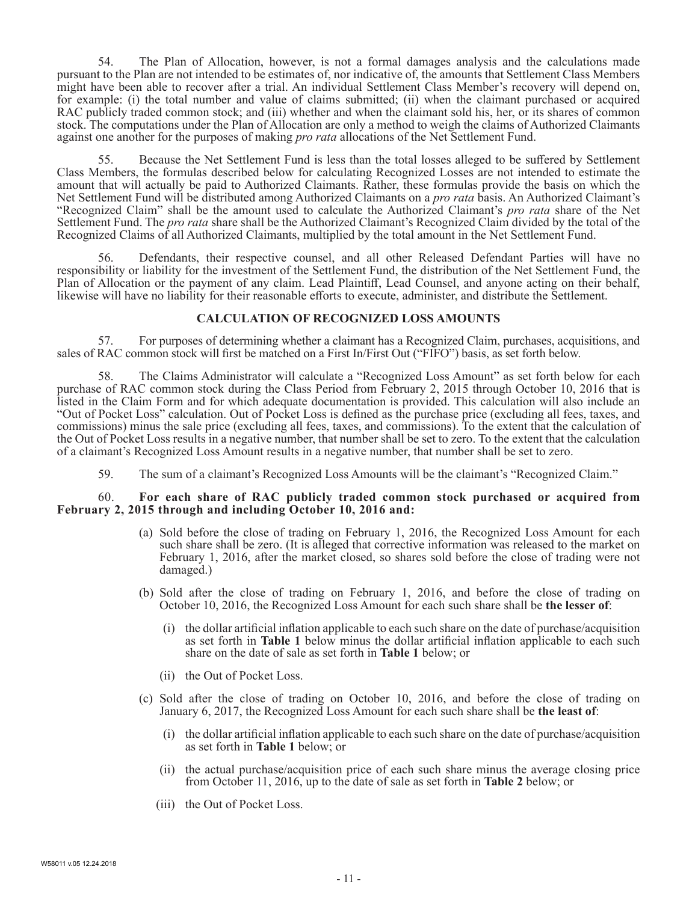54. The Plan of Allocation, however, is not a formal damages analysis and the calculations made pursuant to the Plan are not intended to be estimates of, nor indicative of, the amounts that Settlement Class Members might have been able to recover after a trial. An individual Settlement Class Member's recovery will depend on, for example: (i) the total number and value of claims submitted; (ii) when the claimant purchased or acquired RAC publicly traded common stock; and (iii) whether and when the claimant sold his, her, or its shares of common stock. The computations under the Plan of Allocation are only a method to weigh the claims of Authorized Claimants against one another for the purposes of making *pro rata* allocations of the Net Settlement Fund.

55. Because the Net Settlement Fund is less than the total losses alleged to be suffered by Settlement Class Members, the formulas described below for calculating Recognized Losses are not intended to estimate the amount that will actually be paid to Authorized Claimants. Rather, these formulas provide the basis on which the Net Settlement Fund will be distributed among Authorized Claimants on a *pro rata* basis. An Authorized Claimant's "Recognized Claim" shall be the amount used to calculate the Authorized Claimant's *pro rata* share of the Net Settlement Fund. The *pro rata* share shall be the Authorized Claimant's Recognized Claim divided by the total of the Recognized Claims of all Authorized Claimants, multiplied by the total amount in the Net Settlement Fund.

Defendants, their respective counsel, and all other Released Defendant Parties will have no responsibility or liability for the investment of the Settlement Fund, the distribution of the Net Settlement Fund, the Plan of Allocation or the payment of any claim. Lead Plaintiff, Lead Counsel, and anyone acting on their behalf, likewise will have no liability for their reasonable efforts to execute, administer, and distribute the Settlement.

### **CALCULATION OF RECOGNIZED LOSS AMOUNTS**

57. For purposes of determining whether a claimant has a Recognized Claim, purchases, acquisitions, and sales of RAC common stock will first be matched on a First In/First Out ("FIFO") basis, as set forth below.

58. The Claims Administrator will calculate a "Recognized Loss Amount" as set forth below for each purchase of RAC common stock during the Class Period from February 2, 2015 through October 10, 2016 that is listed in the Claim Form and for which adequate documentation is provided. This calculation will also include an "Out of Pocket Loss" calculation. Out of Pocket Loss is defined as the purchase price (excluding all fees, taxes, and commissions) minus the sale price (excluding all fees, taxes, and commissions). To the extent that the calculation of the Out of Pocket Loss results in a negative number, that number shall be set to zero. To the extent that the calculation of a claimant's Recognized Loss Amount results in a negative number, that number shall be set to zero.

59. The sum of a claimant's Recognized Loss Amounts will be the claimant's "Recognized Claim."

#### 60. **For each share of RAC publicly traded common stock purchased or acquired from February 2, 2015 through and including October 10, 2016 and:**

- (a) Sold before the close of trading on February 1, 2016, the Recognized Loss Amount for each such share shall be zero. (It is alleged that corrective information was released to the market on February 1, 2016, after the market closed, so shares sold before the close of trading were not damaged.)
- (b) Sold after the close of trading on February 1, 2016, and before the close of trading on October 10, 2016, the Recognized Loss Amount for each such share shall be **the lesser of**:
	- (i) the dollar artificial inflation applicable to each such share on the date of purchase/acquisition as set forth in **Table 1** below minus the dollar artificial inflation applicable to each such share on the date of sale as set forth in **Table 1** below; or
	- (ii) the Out of Pocket Loss.
- (c) Sold after the close of trading on October 10, 2016, and before the close of trading on January 6, 2017, the Recognized Loss Amount for each such share shall be **the least of**:
	- (i) the dollar artificial inflation applicable to each such share on the date of purchase/acquisition as set forth in **Table 1** below; or
	- (ii) the actual purchase/acquisition price of each such share minus the average closing price from October 11, 2016, up to the date of sale as set forth in **Table 2** below; or
	- (iii) the Out of Pocket Loss.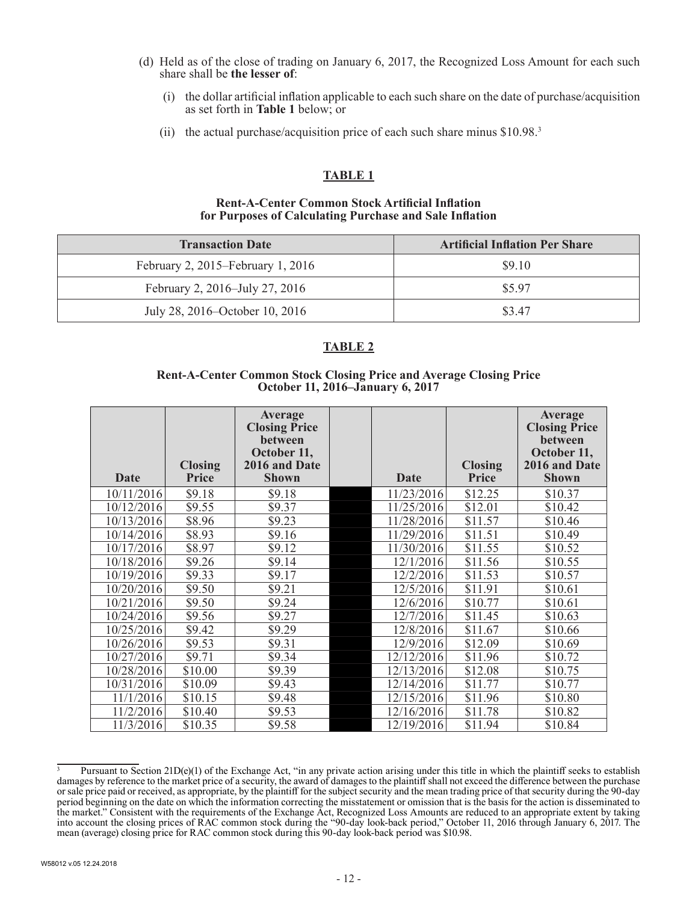- (d) Held as of the close of trading on January 6, 2017, the Recognized Loss Amount for each such share shall be **the lesser of**:
	- (i) the dollar artificial inflation applicable to each such share on the date of purchase/acquisition as set forth in **Table 1** below; or
	- (ii) the actual purchase/acquisition price of each such share minus \$10.98.<sup>3</sup>

# **TABLE 1**

#### **Rent-A-Center Common Stock Artificial Inflation for Purposes of Calculating Purchase and Sale Inflation**

| <b>Transaction Date</b>           | <b>Artificial Inflation Per Share</b> |  |  |  |
|-----------------------------------|---------------------------------------|--|--|--|
| February 2, 2015–February 1, 2016 | \$9.10                                |  |  |  |
| February 2, 2016–July 27, 2016    | \$5.97                                |  |  |  |
| July 28, 2016–October 10, 2016    | \$3.47                                |  |  |  |

# **TABLE 2**

#### **Rent-A-Center Common Stock Closing Price and Average Closing Price October 11, 2016–January 6, 2017**

| Date       | <b>Closing</b><br><b>Price</b> | Average<br><b>Closing Price</b><br>between<br>October 11,<br>2016 and Date<br><b>Shown</b> | <b>Date</b> | <b>Closing</b><br><b>Price</b> | <b>Average</b><br><b>Closing Price</b><br>between<br>October 11,<br>2016 and Date<br><b>Shown</b> |
|------------|--------------------------------|--------------------------------------------------------------------------------------------|-------------|--------------------------------|---------------------------------------------------------------------------------------------------|
| 10/11/2016 | \$9.18                         | \$9.18                                                                                     | 11/23/2016  | \$12.25                        | \$10.37                                                                                           |
| 10/12/2016 | \$9.55                         | \$9.37                                                                                     | 11/25/2016  | \$12.01                        | \$10.42                                                                                           |
| 10/13/2016 | \$8.96                         | \$9.23                                                                                     | 11/28/2016  | \$11.57                        | \$10.46                                                                                           |
| 10/14/2016 | \$8.93                         | \$9.16                                                                                     | 11/29/2016  | \$11.51                        | \$10.49                                                                                           |
| 10/17/2016 | \$8.97                         | \$9.12                                                                                     | 11/30/2016  | \$11.55                        | \$10.52                                                                                           |
| 10/18/2016 | \$9.26                         | \$9.14                                                                                     | 12/1/2016   | \$11.56                        | \$10.55                                                                                           |
| 10/19/2016 | \$9.33                         | \$9.17                                                                                     | 12/2/2016   | \$11.53                        | \$10.57                                                                                           |
| 10/20/2016 | \$9.50                         | \$9.21                                                                                     | 12/5/2016   | \$11.91                        | \$10.61                                                                                           |
| 10/21/2016 | \$9.50                         | \$9.24                                                                                     | 12/6/2016   | \$10.77                        | \$10.61                                                                                           |
| 10/24/2016 | \$9.56                         | \$9.27                                                                                     | 12/7/2016   | \$11.45                        | \$10.63                                                                                           |
| 10/25/2016 | \$9.42                         | \$9.29                                                                                     | 12/8/2016   | \$11.67                        | \$10.66                                                                                           |
| 10/26/2016 | \$9.53                         | \$9.31                                                                                     | 12/9/2016   | \$12.09                        | \$10.69                                                                                           |
| 10/27/2016 | \$9.71                         | \$9.34                                                                                     | 12/12/2016  | \$11.96                        | \$10.72                                                                                           |
| 10/28/2016 | \$10.00                        | \$9.39                                                                                     | 12/13/2016  | \$12.08                        | \$10.75                                                                                           |
| 10/31/2016 | \$10.09                        | \$9.43                                                                                     | 12/14/2016  | \$11.77                        | \$10.77                                                                                           |
| 11/1/2016  | \$10.15                        | \$9.48                                                                                     | 12/15/2016  | \$11.96                        | \$10.80                                                                                           |
| 11/2/2016  | \$10.40                        | \$9.53                                                                                     | 12/16/2016  | \$11.78                        | \$10.82                                                                                           |
| 11/3/2016  | \$10.35                        | \$9.58                                                                                     | 12/19/2016  | \$11.94                        | \$10.84                                                                                           |

<sup>&</sup>lt;sup>3</sup> Pursuant to Section 21D(e)(1) of the Exchange Act, "in any private action arising under this title in which the plaintiff seeks to establish damages by reference to the market price of a security, the award of damages to the plaintiff shall not exceed the difference between the purchase or sale price paid or received, as appropriate, by the plaintiff for the subject security and the mean trading price of that security during the 90-day period beginning on the date on which the information correcting the misstatement or omission that is the basis for the action is disseminated to the market." Consistent with the requirements of the Exchange Act, Recognized Loss Amounts are reduced to an appropriate extent by taking into account the closing prices of RAC common stock during the "90-day look-back period," October 11, 2016 through January 6, 2017. The mean (average) closing price for RAC common stock during this 90-day look-back period was \$10.98.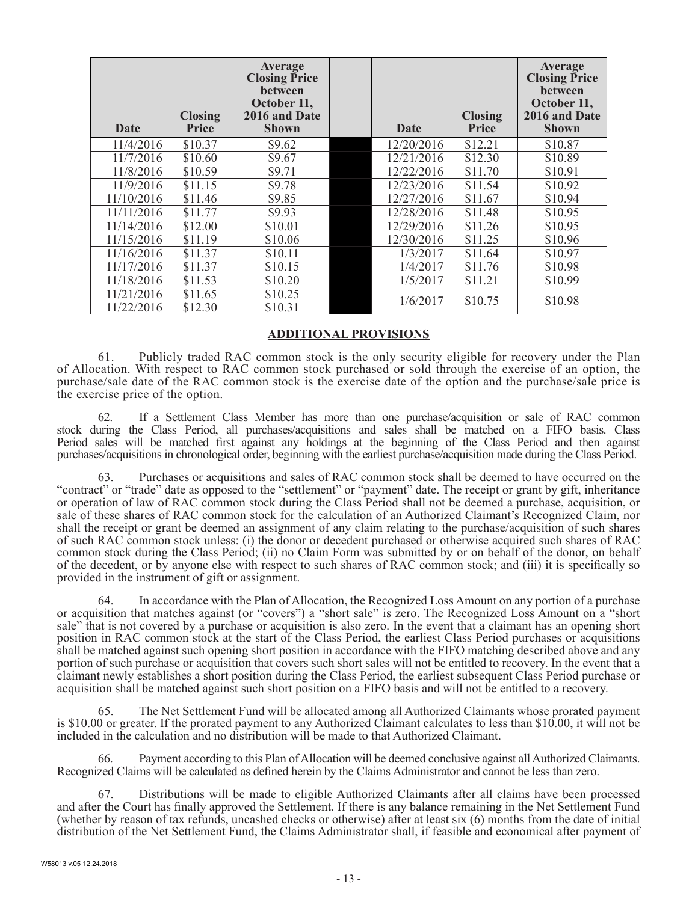| Date       | <b>Closing</b><br><b>Price</b> | Average<br><b>Closing Price</b><br><b>between</b><br>October 11,<br>2016 and Date<br><b>Shown</b> | <b>Date</b> | <b>Closing</b><br><b>Price</b> | Average<br><b>Closing Price</b><br>between<br>October 11,<br>2016 and Date<br><b>Shown</b> |
|------------|--------------------------------|---------------------------------------------------------------------------------------------------|-------------|--------------------------------|--------------------------------------------------------------------------------------------|
| 11/4/2016  | \$10.37                        | \$9.62                                                                                            | 12/20/2016  | \$12.21                        | \$10.87                                                                                    |
| 11/7/2016  | \$10.60                        | \$9.67                                                                                            | 12/21/2016  | \$12.30                        | \$10.89                                                                                    |
| 11/8/2016  | \$10.59                        | \$9.71                                                                                            | 12/22/2016  | \$11.70                        | \$10.91                                                                                    |
| 11/9/2016  | \$11.15                        | \$9.78                                                                                            | 12/23/2016  | \$11.54                        | \$10.92                                                                                    |
| 11/10/2016 | \$11.46                        | \$9.85                                                                                            | 12/27/2016  | \$11.67                        | \$10.94                                                                                    |
| 11/11/2016 | \$11.77                        | \$9.93                                                                                            | 12/28/2016  | \$11.48                        | \$10.95                                                                                    |
| 11/14/2016 | \$12.00                        | \$10.01                                                                                           | 12/29/2016  | \$11.26                        | \$10.95                                                                                    |
| 11/15/2016 | \$11.19                        | \$10.06                                                                                           | 12/30/2016  | \$11.25                        | \$10.96                                                                                    |
| 11/16/2016 | \$11.37                        | \$10.11                                                                                           | 1/3/2017    | \$11.64                        | \$10.97                                                                                    |
| 11/17/2016 | \$11.37                        | \$10.15                                                                                           | 1/4/2017    | \$11.76                        | \$10.98                                                                                    |
| 11/18/2016 | \$11.53                        | \$10.20                                                                                           | 1/5/2017    | \$11.21                        | \$10.99                                                                                    |
| 11/21/2016 | \$11.65                        | \$10.25                                                                                           | 1/6/2017    | \$10.75                        | \$10.98                                                                                    |
| 11/22/2016 | \$12.30                        | \$10.31                                                                                           |             |                                |                                                                                            |

#### **ADDITIONAL PROVISIONS**

61. Publicly traded RAC common stock is the only security eligible for recovery under the Plan of Allocation. With respect to RAC common stock purchased or sold through the exercise of an option, the purchase/sale date of the RAC common stock is the exercise date of the option and the purchase/sale price is the exercise price of the option.

62. If a Settlement Class Member has more than one purchase/acquisition or sale of RAC common stock during the Class Period, all purchases/acquisitions and sales shall be matched on a FIFO basis. Class Period sales will be matched first against any holdings at the beginning of the Class Period and then against purchases/acquisitions in chronological order, beginning with the earliest purchase/acquisition made during the Class Period.

Purchases or acquisitions and sales of RAC common stock shall be deemed to have occurred on the "contract" or "trade" date as opposed to the "settlement" or "payment" date. The receipt or grant by gift, inheritance or operation of law of RAC common stock during the Class Period shall not be deemed a purchase, acquisition, or sale of these shares of RAC common stock for the calculation of an Authorized Claimant's Recognized Claim, nor shall the receipt or grant be deemed an assignment of any claim relating to the purchase/acquisition of such shares of such RAC common stock unless: (i) the donor or decedent purchased or otherwise acquired such shares of RAC common stock during the Class Period; (ii) no Claim Form was submitted by or on behalf of the donor, on behalf of the decedent, or by anyone else with respect to such shares of RAC common stock; and (iii) it is specifically so provided in the instrument of gift or assignment.

In accordance with the Plan of Allocation, the Recognized Loss Amount on any portion of a purchase or acquisition that matches against (or "covers") a "short sale" is zero. The Recognized Loss Amount on a "short sale" that is not covered by a purchase or acquisition is also zero. In the event that a claimant has an opening short position in RAC common stock at the start of the Class Period, the earliest Class Period purchases or acquisitions shall be matched against such opening short position in accordance with the FIFO matching described above and any portion of such purchase or acquisition that covers such short sales will not be entitled to recovery. In the event that a claimant newly establishes a short position during the Class Period, the earliest subsequent Class Period purchase or acquisition shall be matched against such short position on a FIFO basis and will not be entitled to a recovery.

65. The Net Settlement Fund will be allocated among all Authorized Claimants whose prorated payment is \$10.00 or greater. If the prorated payment to any Authorized Claimant calculates to less than \$10.00, it will not be included in the calculation and no distribution will be made to that Authorized Claimant.

66. Payment according to this Plan of Allocation will be deemed conclusive against all Authorized Claimants. Recognized Claims will be calculated as defined herein by the Claims Administrator and cannot be less than zero.

67. Distributions will be made to eligible Authorized Claimants after all claims have been processed and after the Court has finally approved the Settlement. If there is any balance remaining in the Net Settlement Fund (whether by reason of tax refunds, uncashed checks or otherwise) after at least six (6) months from the date of initial distribution of the Net Settlement Fund, the Claims Administrator shall, if feasible and economical after payment of